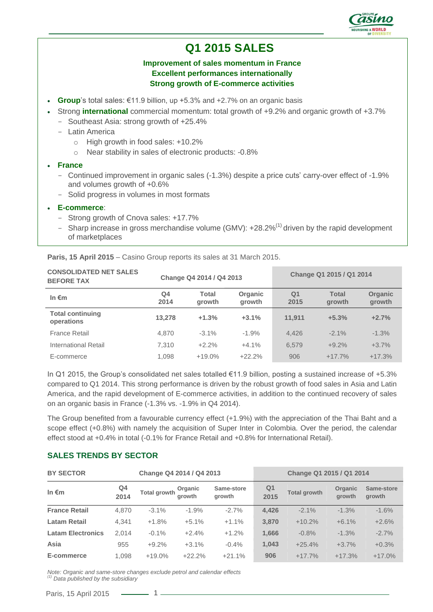

# **Q1 2015 SALES**

### **Improvement of sales momentum in France Excellent performances internationally Strong growth of E-commerce activities**

- **Group**'s total sales: €11.9 billion, up +5.3% and +2.7% on an organic basis
	- Strong **international** commercial momentum: total growth of +9.2% and organic growth of +3.7%
	- Southeast Asia: strong growth of +25.4%
	- Latin America
		- o High growth in food sales: +10.2%
		- o Near stability in sales of electronic products: -0.8%
- **France**
	- Continued improvement in organic sales (-1.3%) despite a price cuts' carry-over effect of -1.9% and volumes growth of +0.6%
	- Solid progress in volumes in most formats
- **E-commerce**:
	- Strong growth of Cnova sales: +17.7%
	- Sharp increase in gross merchandise volume (GMV):  $+28.2\%$ <sup>(1)</sup> driven by the rapid development of marketplaces

| <b>CONSOLIDATED NET SALES</b><br><b>BEFORE TAX</b> | Change Q4 2014 / Q4 2013 |                 | Change Q1 2015 / Q1 2014 |                        |                        |                          |
|----------------------------------------------------|--------------------------|-----------------|--------------------------|------------------------|------------------------|--------------------------|
| In $\epsilon$ m                                    | Q4<br>2014               | Total<br>growth | Organic<br>growth        | Q <sub>1</sub><br>2015 | <b>Total</b><br>growth | <b>Organic</b><br>growth |
| <b>Total continuing</b><br>operations              | 13.278                   | $+1.3%$         | $+3.1%$                  | 11.911                 | $+5.3%$                | $+2.7%$                  |
| <b>France Retail</b>                               | 4,870                    | $-3.1\%$        | $-1.9%$                  | 4.426                  | $-2.1\%$               | $-1.3%$                  |
| International Retail                               | 7.310                    | $+2.2%$         | $+4.1%$                  | 6.579                  | $+9.2%$                | $+3.7%$                  |
| E-commerce                                         | 1.098                    | $+19.0%$        | $+22.2%$                 | 906                    | $+17.7%$               | $+17.3%$                 |

**Paris, 15 April 2015** – Casino Group reports its sales at 31 March 2015.

In Q1 2015, the Group's consolidated net sales totalled €11.9 billion, posting a sustained increase of +5.3% compared to Q1 2014. This strong performance is driven by the robust growth of food sales in Asia and Latin America, and the rapid development of E-commerce activities, in addition to the continued recovery of sales on an organic basis in France (-1.3% vs. -1.9% in Q4 2014).

The Group benefited from a favourable currency effect (+1.9%) with the appreciation of the Thai Baht and a scope effect (+0.8%) with namely the acquisition of Super Inter in Colombia. Over the period, the calendar effect stood at +0.4% in total (-0.1% for France Retail and +0.8% for International Retail).

### **SALES TRENDS BY SECTOR**

| <b>BY SECTOR</b><br>Change Q4 2014 / Q4 2013 |            |                     |                   | Change Q1 2015 / Q1 2014 |            |                     |                   |                      |
|----------------------------------------------|------------|---------------------|-------------------|--------------------------|------------|---------------------|-------------------|----------------------|
| In $\epsilon$ m                              | Q4<br>2014 | <b>Total growth</b> | Organic<br>arowth | Same-store<br>arowth     | Q1<br>2015 | <b>Total growth</b> | Organic<br>arowth | Same-store<br>growth |
| <b>France Retail</b>                         | 4.870      | $-3.1\%$            | $-1.9%$           | $-2.7%$                  | 4,426      | $-2.1%$             | $-1.3%$           | $-1.6%$              |
| <b>Latam Retail</b>                          | 4,341      | $+1.8%$             | $+5.1%$           | $+1.1%$                  | 3,870      | $+10.2%$            | $+6.1%$           | $+2.6%$              |
| <b>Latam Electronics</b>                     | 2.014      | $-0.1%$             | $+2.4%$           | $+1.2%$                  | 1,666      | $-0.8%$             | $-1.3%$           | $-2.7%$              |
| Asia                                         | 955        | $+9.2%$             | $+3.1%$           | $-0.4%$                  | 1,043      | $+25.4%$            | $+3.7%$           | $+0.3%$              |
| E-commerce                                   | 1.098      | $+19.0%$            | $+22.2%$          | $+21.1%$                 | 906        | $+17.7%$            | $+17.3%$          | $+17.0%$             |

*Note: Organic and same-store changes exclude petrol and calendar effects (1) Data published by the subsidiary*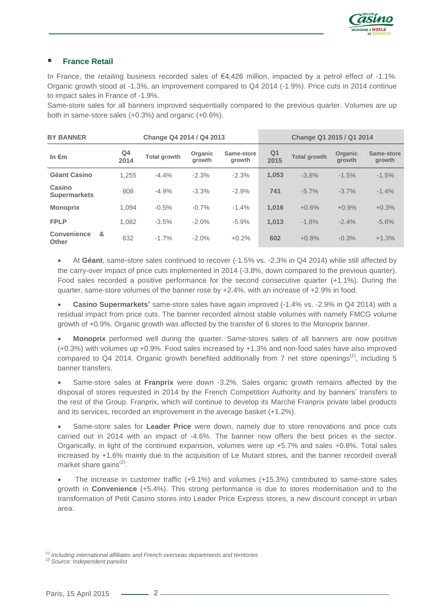

### **France Retail**

In France, the retailing business recorded sales of €4,426 million, impacted by a petrol effect of -1.1%. Organic growth stood at -1.3%, an improvement compared to Q4 2014 (-1.9%). Price cuts in 2014 continue to impact sales in France of -1.9%.

Same-store sales for all banners improved sequentially compared to the previous quarter. Volumes are up both in same-store sales (+0.3%) and organic (+0.6%).

| <b>BY BANNER</b><br>Change Q4 2014 / Q4 2013 |   |            | Change Q1 2015 / Q1 2014 |                   |                      |            |                     |                   |                      |
|----------------------------------------------|---|------------|--------------------------|-------------------|----------------------|------------|---------------------|-------------------|----------------------|
| In $\epsilon$ m                              |   | Q4<br>2014 | <b>Total growth</b>      | Organic<br>arowth | Same-store<br>growth | Q1<br>2015 | <b>Total growth</b> | Organic<br>arowth | Same-store<br>growth |
| Géant Casino                                 |   | 1.255      | $-4.4%$                  | $-2.3%$           | $-2.3%$              | 1,053      | $-3.8%$             | $-1.5%$           | $-1.5%$              |
| Casino<br><b>Supermarkets</b>                |   | 808        | $-4.9%$                  | $-3.3%$           | $-2.9%$              | 741        | $-5.7%$             | $-3.7%$           | $-1.4%$              |
| <b>Monoprix</b>                              |   | 1.094      | $-0.5%$                  | $-0.7%$           | $-1.4%$              | 1.016      | $+0.6%$             | $+0.9%$           | $+0.3%$              |
| <b>FPLP</b>                                  |   | 1.082      | $-3.5%$                  | $-2.0%$           | $-5.9%$              | 1.013      | $-1.8%$             | $-2.4%$           | $-5.6%$              |
| Convenience<br><b>Other</b>                  | & | 632        | $-1.7%$                  | $-2.0%$           | $+0.2%$              | 602        | $+0.8%$             | $-0.3%$           | $+1.3%$              |

 At **Géant**, same-store sales continued to recover (-1.5% vs. -2.3% in Q4 2014) while still affected by the carry-over impact of price cuts implemented in 2014 (-3.8%, down compared to the previous quarter). Food sales recorded a positive performance for the second consecutive quarter (+1.1%). During the quarter, same-store volumes of the banner rose by +2.4%, with an increase of +2.9% in food.

 **Casino Supermarkets'** same-store sales have again improved (-1.4% vs. -2.9% in Q4 2014) with a residual impact from price cuts. The banner recorded almost stable volumes with namely FMCG volume growth of +0.9%. Organic growth was affected by the transfer of 6 stores to the Monoprix banner.

 **Monoprix** performed well during the quarter. Same-stores sales of all banners are now positive (+0.3%) with volumes up +0.9%. Food sales increased by +1.3% and non-food sales have also improved compared to Q4 2014. Organic growth benefited additionally from 7 net store openings<sup>(1)</sup>, including 5 banner transfers.

 Same-store sales at **Franprix** were down -3.2%. Sales organic growth remains affected by the disposal of stores requested in 2014 by the French Competition Authority and by banners' transfers to the rest of the Group. Franprix, which will continue to develop its Marché Franprix private label products and its services, recorded an improvement in the average basket (+1.2%).

 Same-store sales for **Leader Price** were down, namely due to store renovations and price cuts carried out in 2014 with an impact of -4.6%. The banner now offers the best prices in the sector. Organically, in light of the continued expansion, volumes were up +5.7% and sales +0.8%. Total sales increased by +1.6% mainly due to the acquisition of Le Mutant stores, and the banner recorded overall market share gains<sup>(2)</sup>.

 The increase in customer traffic (+9.1%) and volumes (+15.3%) contributed to same-store sales growth in **Convenience** (+5.4%). This strong performance is due to stores modernisation and to the transformation of Petit Casino stores into Leader Price Express stores, a new discount concept in urban area.

*(1) Including international affiliates and French overseas departments and territories*

*<sup>(2)</sup> Source: Independent panelist*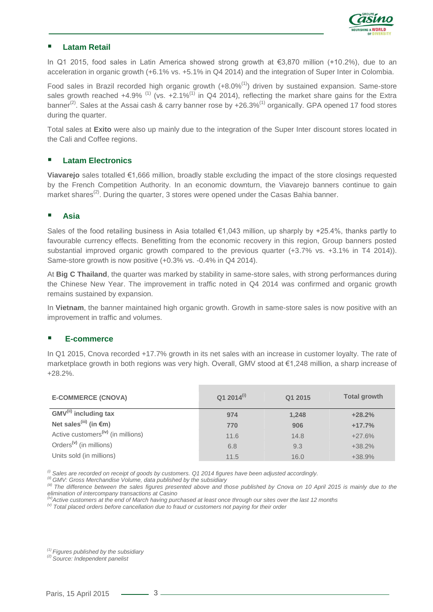

### **Latam Retail**

In Q1 2015, food sales in Latin America showed strong growth at €3,870 million (+10.2%), due to an acceleration in organic growth (+6.1% vs. +5.1% in Q4 2014) and the integration of Super Inter in Colombia.

Food sales in Brazil recorded high organic growth  $(+8.0\%)$  driven by sustained expansion. Same-store sales growth reached  $+4.9\%$ <sup>(1)</sup> (vs.  $+2.1\%$ <sup>(1)</sup> in Q4 2014), reflecting the market share gains for the Extra banner<sup>(2)</sup>. Sales at the Assai cash & carry banner rose by  $+26.3\%$ <sup>(1)</sup> organically. GPA opened 17 food stores during the quarter.

Total sales at **Exito** were also up mainly due to the integration of the Super Inter discount stores located in the Cali and Coffee regions.

### **Latam Electronics**

**Viavarejo** sales totalled €1,666 million, broadly stable excluding the impact of the store closings requested by the French Competition Authority. In an economic downturn, the Viavarejo banners continue to gain market shares<sup>(2)</sup>. During the quarter, 3 stores were opened under the Casas Bahia banner.

#### **Asia**

Sales of the food retailing business in Asia totalled €1,043 million, up sharply by +25.4%, thanks partly to favourable currency effects. Benefitting from the economic recovery in this region, Group banners posted substantial improved organic growth compared to the previous quarter (+3.7% vs. +3.1% in T4 2014)). Same-store growth is now positive (+0.3% vs. -0.4% in Q4 2014).

At **Big C Thailand**, the quarter was marked by stability in same-store sales, with strong performances during the Chinese New Year. The improvement in traffic noted in Q4 2014 was confirmed and organic growth remains sustained by expansion.

In **Vietnam**, the banner maintained high organic growth. Growth in same-store sales is now positive with an improvement in traffic and volumes.

### **E-commerce**

In Q1 2015, Cnova recorded +17.7% growth in its net sales with an increase in customer loyalty. The rate of marketplace growth in both regions was very high. Overall, GMV stood at €1,248 million, a sharp increase of +28.2%.

| <b>E-COMMERCE (CNOVA)</b>                      | $Q12014^{(i)}$ | Q1 2015 | <b>Total growth</b> |
|------------------------------------------------|----------------|---------|---------------------|
| GMV <sup>(ii)</sup> including tax              | 974            | 1,248   | $+28.2%$            |
| Net sales <sup>(iii)</sup> (in $\epsilon$ m)   | 770            | 906     | $+17.7%$            |
| Active customers <sup>(iv)</sup> (in millions) | 11.6           | 14.8    | $+27.6%$            |
| Orders <sup>(v)</sup> (in millions)            | 6.8            | 9.3     | $+38.2%$            |
| Units sold (in millions)                       | 11.5           | 16.0    | $+38.9%$            |

*(i) Sales are recorded on receipt of goods by customers. Q1 2014 figures have been adjusted accordingly.* 

*(ii) GMV: Gross Merchandise Volume, data published by the subsidiary*

*(iii) The difference between the sales figures presented above and those published by Cnova on 10 April 2015 is mainly due to the elimination of intercompany transactions at Casino*

*(iv)Active customers at the end of March having purchased at least once through our sites over the last 12 months*

*(v) Total placed orders before cancellation due to fraud or customers not paying for their order*

*(1) Figures published by the subsidiary*

*(2) Source: Independent panelist*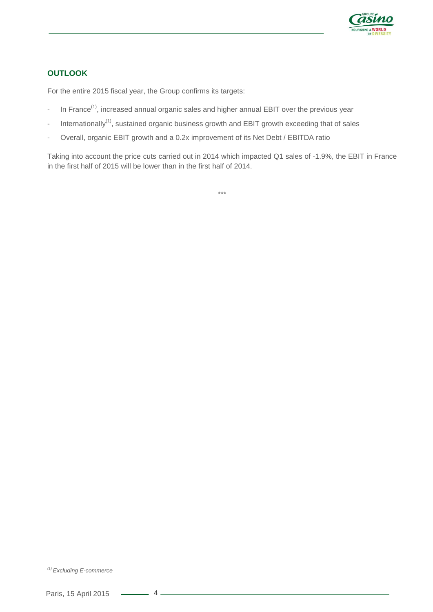

# **OUTLOOK**

For the entire 2015 fiscal year, the Group confirms its targets:

- In France<sup>(1)</sup>, increased annual organic sales and higher annual EBIT over the previous year
- Internationally<sup>(1)</sup>, sustained organic business growth and EBIT growth exceeding that of sales
- Overall, organic EBIT growth and a 0.2x improvement of its Net Debt / EBITDA ratio

Taking into account the price cuts carried out in 2014 which impacted Q1 sales of -1.9%, the EBIT in France in the first half of 2015 will be lower than in the first half of 2014.

\*\*\*

*<sup>(1)</sup> Excluding E-commerce*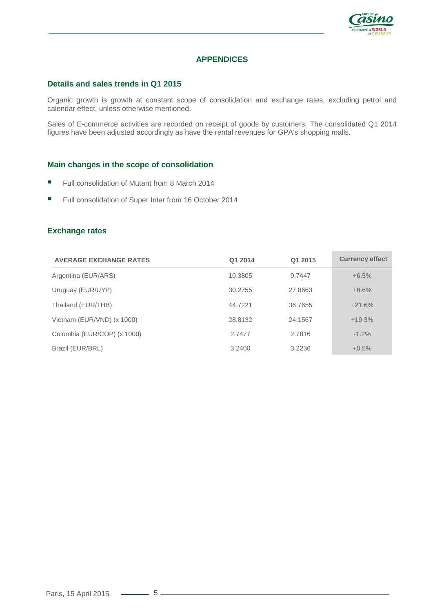

## **APPENDICES**

### **Details and sales trends in Q1 2015**

Organic growth is growth at constant scope of consolidation and exchange rates, excluding petrol and calendar effect, unless otherwise mentioned.

Sales of E-commerce activities are recorded on receipt of goods by customers. The consolidated Q1 2014 figures have been adjusted accordingly as have the rental revenues for GPA's shopping malls.

### **Main changes in the scope of consolidation**

- Full consolidation of Mutant from 8 March 2014
- Full consolidation of Super Inter from 16 October 2014

### **Exchange rates**

| <b>AVERAGE EXCHANGE RATES</b> | Q1 2014 | Q1 2015 | <b>Currency effect</b> |
|-------------------------------|---------|---------|------------------------|
| Argentina (EUR/ARS)           | 10.3805 | 9.7447  | $+6.5%$                |
| Uruguay (EUR/UYP)             | 30.2755 | 27.8663 | $+8.6%$                |
| Thailand (EUR/THB)            | 44.7221 | 36.7655 | $+21.6%$               |
| Vietnam (EUR/VND) (x 1000)    | 28.8132 | 24.1567 | $+19.3%$               |
| Colombia (EUR/COP) (x 1000)   | 2.7477  | 2.7816  | $-1.2%$                |
| Brazil (EUR/BRL)              | 3.2400  | 3.2236  | $+0.5%$                |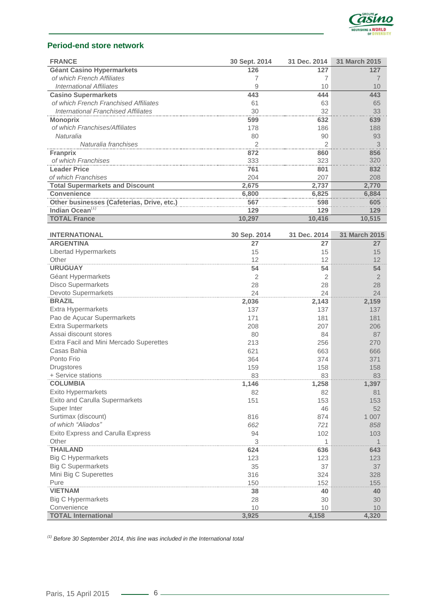

### **Period-end store network**

| <b>FRANCE</b>                              | 30 Sept. 2014  | 31 Dec. 2014   | 31 March 2015  |
|--------------------------------------------|----------------|----------------|----------------|
| <b>Géant Casino Hypermarkets</b>           | 126            | 127            | 127            |
| of which French Affiliates                 | 7              | 7              | 7              |
| <b>International Affiliates</b>            | 9              | 10             | 10             |
| <b>Casino Supermarkets</b>                 | 443            | 444            | 443            |
| of which French Franchised Affiliates      | 61             | 63             | 65             |
| <b>International Franchised Affiliates</b> | 30             | 32             | 33             |
| <b>Monoprix</b>                            | 599            | 632            | 639            |
| of which Franchises/Affiliates             | 178            | 186            | 188            |
| Naturalia                                  | 80             | 90             | 93             |
| Naturalia franchises                       | 2              | $\overline{2}$ | 3              |
| <b>Franprix</b>                            | 872            | 860            | 856            |
| of which Franchises                        | 333            | 323            | 320            |
| <b>Leader Price</b>                        | 761            | 801            | 832            |
| of which Franchises                        | 204            | 207            | 208            |
| <b>Total Supermarkets and Discount</b>     | 2,675          | 2,737          | 2,770          |
| <b>Convenience</b>                         | 6,800          | 6,825          | 6,884          |
| Other businesses (Cafeterias, Drive, etc.) | 567            | 598            | 605            |
| Indian Ocean <sup>(1)</sup>                | 129            | 129            | 129            |
| <b>TOTAL France</b>                        | 10,297         | 10,416         | 10,515         |
|                                            |                |                |                |
| <b>INTERNATIONAL</b>                       | 30 Sep. 2014   | 31 Dec. 2014   | 31 March 2015  |
| <b>ARGENTINA</b>                           | 27             | 27             | 27             |
| Libertad Hypermarkets                      | 15             | 15             | 15             |
| Other                                      | 12             | 12             | 12             |
| <b>URUGUAY</b>                             | 54             | 54             | 54             |
| Géant Hypermarkets                         | $\overline{2}$ | 2              | $\overline{2}$ |
| <b>Disco Supermarkets</b>                  | 28             | 28             | 28             |
| Devoto Supermarkets                        | 24             | 24             | 24             |
| <b>BRAZIL</b>                              | 2,036          | 2,143          | 2,159          |
| Extra Hypermarkets                         | 137            | 137            | 137            |
| Pao de Açucar Supermarkets                 | 171            | 181            | 181            |
| <b>Extra Supermarkets</b>                  | 208            | 207            | 206            |
| Assai discount stores                      | 80             | 84             | 87             |
| Extra Facil and Mini Mercado Superettes    | 213            | 256            | 270            |
| Casas Bahia                                | 621            | 663            | 666            |
| Ponto Frio                                 | 364            | 374            | 371            |
| <b>Drugstores</b>                          | 159            | 158            | 158            |
| + Service stations                         | 83             | 83             | 83             |
| <b>COLUMBIA</b>                            | 1,146          | 1,258          | 1,397          |
|                                            | 82             | 82             |                |
| <b>Exito Hypermarkets</b>                  |                |                | 81             |
| Exito and Carulla Supermarkets             | 151            | 153            | 153            |
| Super Inter                                |                | 46             | 52             |
| Surtimax (discount)                        | 816            | 874            | 1 0 0 7        |
| of which "Aliados"                         | 662            | 721            | 858            |
| Exito Express and Carulla Express          | 94             | 102            | 103            |
| Other                                      | 3              | 1              | 1              |
| <b>THAILAND</b>                            | 624            | 636            | 643            |
| <b>Big C Hypermarkets</b>                  | 123            | 123            | 123            |
| <b>Big C Supermarkets</b>                  | 35             | 37             | 37             |
| Mini Big C Superettes                      | 316            | 324            | 328            |
| Pure                                       | 150            | 152            | 155            |
| <b>VIETNAM</b>                             | 38             | 40             | 40             |
| <b>Big C Hypermarkets</b>                  | 28             | 30             | 30             |
| Convenience                                | 10             | 10             | 10             |
| <b>TOTAL International</b>                 | 3,925          | 4,158          | 4,320          |

*(1) Before 30 September 2014, this line was included in the International total*